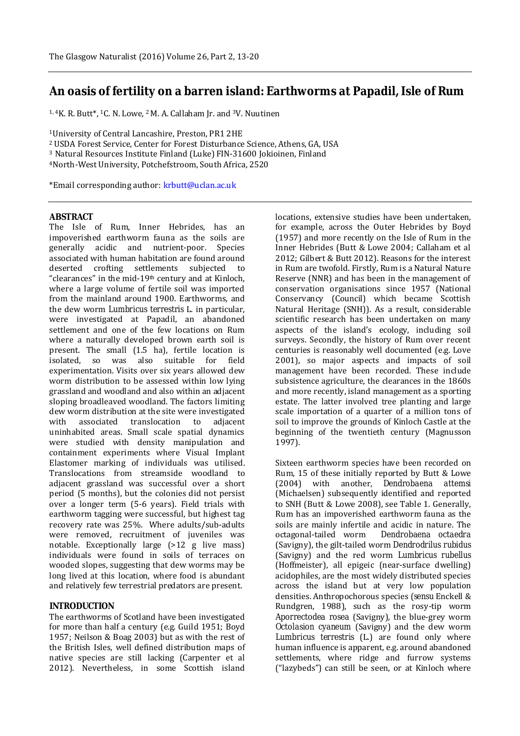# **An oasis of fertility on a barren island: Earthworms at Papadil, Isle of Rum**

<sup>1, 4</sup>K. R. Butt<sup>\*</sup>, <sup>1</sup>C. N. Lowe, <sup>2</sup> M. A. Callaham Jr. and <sup>3</sup>V. Nuutinen

<sup>1</sup>University of Central Lancashire, Preston, PR1 2HE

<sup>2</sup>USDA Forest Service, Center for Forest Disturbance Science, Athens, GA, USA

<sup>3</sup> Natural Resources Institute Finland (Luke) FIN-31600 Jokioinen, Finland

<sup>4</sup>North-West University, Potchefstroom, South Africa, 2520

\*Email corresponding author: krbutt@uclan.ac.uk

#### **ABSTRACT**

The Isle of Rum, Inner Hebrides, has an impoverished earthworm fauna as the soils are generally acidic and nutrient-poor. Species associated with human habitation are found around deserted crofting settlements subjected to "clearances" in the mid-19th century and at Kinloch, where a large volume of fertile soil was imported from the mainland around 1900. Earthworms, and the dew worm *Lumbricus terrestris* L. in particular, were investigated at Papadil, an abandoned settlement and one of the few locations on Rum where a naturally developed brown earth soil is present. The small (1.5 ha), fertile location is isolated, so was also suitable for field experimentation. Visits over six years allowed dew worm distribution to be assessed within low lying grassland and woodland and also within an adjacent sloping broadleaved woodland. The factors limiting dew worm distribution at the site were investigated with associated translocation to adjacent uninhabited areas. Small scale spatial dynamics were studied with density manipulation and containment experiments where Visual Implant Elastomer marking of individuals was utilised. Translocations from streamside woodland to adjacent grassland was successful over a short period (5 months), but the colonies did not persist over a longer term (5-6 years). Field trials with earthworm tagging were successful, but highest tag recovery rate was 25%. Where adults/sub-adults were removed, recruitment of juveniles was notable. Exceptionally large (>12 g live mass) individuals were found in soils of terraces on wooded slopes, suggesting that dew worms may be long lived at this location, where food is abundant and relatively few terrestrial predators are present.

# **INTRODUCTION**

The earthworms of Scotland have been investigated for more than half a century (e.g. Guild 1951; Boyd 1957; Neilson & Boag 2003) but as with the rest of the British Isles, well defined distribution maps of native species are still lacking (Carpenter et al 2012). Nevertheless, in some Scottish island

locations, extensive studies have been undertaken, for example, across the Outer Hebrides by Boyd (1957) and more recently on the Isle of Rum in the Inner Hebrides (Butt & Lowe 2004; Callaham et al 2012; Gilbert & Butt 2012). Reasons for the interest in Rum are twofold. Firstly, Rum is a Natural Nature Reserve (NNR) and has been in the management of conservation organisations since 1957 (National Conservancy (Council) which became Scottish Natural Heritage (SNH)). As a result, considerable scientific research has been undertaken on many aspects of the island's ecology, including soil surveys. Secondly, the history of Rum over recent centuries is reasonably well documented (e.g. Love 2001), so major aspects and impacts of soil management have been recorded. These include subsistence agriculture, the clearances in the 1860s and more recently, island management as a sporting estate. The latter involved tree planting and large scale importation of a quarter of a million tons of soil to improve the grounds of Kinloch Castle at the beginning of the twentieth century (Magnusson 1997).

Sixteen earthworm species have been recorded on Rum, 15 of these initially reported by Butt & Lowe (2004) with another, *Dendrobaena attemsi* (Michaelsen) subsequently identified and reported to SNH (Butt & Lowe 2008), see Table 1. Generally, Rum has an impoverished earthworm fauna as the soils are mainly infertile and acidic in nature. The octagonal-tailed worm *Dendrobaena octaedra* (Savigny), the gilt-tailed worm *Dendrodrilus rubidus* (Savigny) and the red worm *Lumbricus rubellus* (Hoffmeister), all epigeic (near-surface dwelling) acidophiles, are the most widely distributed species across the island but at very low population densities. Anthropochorous species (*sensu* Enckell & Rundgren, 1988), such as the rosy-tip worm *Aporrectodea rosea* (Savigny), the blue-grey worm *Octolasion cyaneum* (Savigny) and the dew worm *Lumbricus terrestris* (L.) are found only where human influence is apparent, e.g. around abandoned settlements, where ridge and furrow systems ("lazybeds") can still be seen, or at Kinloch where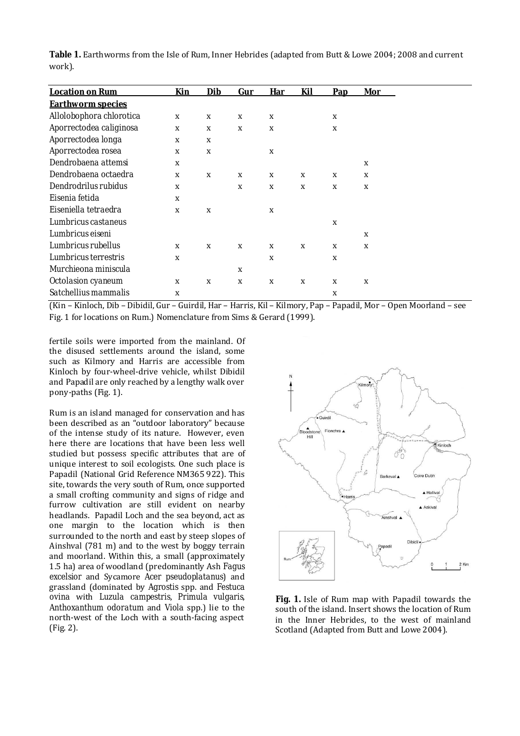| Table 1. Earthworms from the Isle of Rum, Inner Hebrides (adapted from Butt & Lowe 2004; 2008 and current |  |  |
|-----------------------------------------------------------------------------------------------------------|--|--|
| work).                                                                                                    |  |  |

| <b>Location on Rum</b>   | Kin | Dib | Gur | Har | Kil | <b>Pap</b> | Mor |
|--------------------------|-----|-----|-----|-----|-----|------------|-----|
| <b>Earthworm species</b> |     |     |     |     |     |            |     |
| Allolobophora chlorotica | X   | X   | X   | X   |     | X          |     |
| Aporrectodea caliginosa  | X   | X   | X   | X   |     | X          |     |
| Aporrectodea longa       | X   | X   |     |     |     |            |     |
| Aporrectodea rosea       | X   | X   |     | X   |     |            |     |
| Dendrobaena attemsi      | X   |     |     |     |     |            | X   |
| Dendrobaena octaedra     | X   | X   | X   | X   | X   | X          | X   |
| Dendrodrilus rubidus     | X   |     | X   | X   | X   | X          | X   |
| Eisenia fetida           | X   |     |     |     |     |            |     |
| Eiseniella tetraedra     | X   | X   |     | X   |     |            |     |
| Lumbricus castaneus      |     |     |     |     |     | X          |     |
| Lumbricus eiseni         |     |     |     |     |     |            | X   |
| Lumbricus rubellus       | X   | X   | X   | X   | X   | X          | X   |
| Lumbricus terrestris     | X   |     |     | X   |     | X          |     |
| Murchieona miniscula     |     |     | X   |     |     |            |     |
| Octolasion cyaneum       | X   | X   | X   | X   | X   | X          | X   |
| Satchellius mammalis     | X   |     |     |     |     | X          |     |

(Kin – Kinloch, Dib – Dibidil, Gur – Guirdil, Har – Harris, Kil – Kilmory, Pap – Papadil, Mor – Open Moorland – see Fig. 1 for locations on Rum.) Nomenclature from Sims & Gerard (1999).

fertile soils were imported from the mainland. Of the disused settlements around the island, some such as Kilmory and Harris are accessible from Kinloch by four-wheel-drive vehicle, whilst Dibidil and Papadil are only reached by a lengthy walk over pony-paths (Fig. 1).

Rum is an island managed for conservation and has been described as an "outdoor laboratory" because of the intense study of its nature. However, even here there are locations that have been less well studied but possess specific attributes that are of unique interest to soil ecologists. One such place is Papadil (National Grid Reference NM365 922). This site, towards the very south of Rum, once supported a small crofting community and signs of ridge and furrow cultivation are still evident on nearby headlands. Papadil Loch and the sea beyond, act as one margin to the location which is then surrounded to the north and east by steep slopes of Ainshval (781 m) and to the west by boggy terrain and moorland. Within this, a small (approximately 1.5 ha) area of woodland (predominantly Ash *Fagus excelsior* and Sycamore *Acer pseudoplatanus*) and grassland (dominated by *Agrostis* spp. and *Festuca ovina* with *Luzula campestris*, *Primula vulgaris*, *Anthoxanthum odoratum* and *Viola* spp.) lie to the north-west of the Loch with a south-facing aspect (Fig. 2).



**Fig. 1.** Isle of Rum map with Papadil towards the south of the island. Insert shows the location of Rum in the Inner Hebrides, to the west of mainland Scotland (Adapted from Butt and Lowe 2004).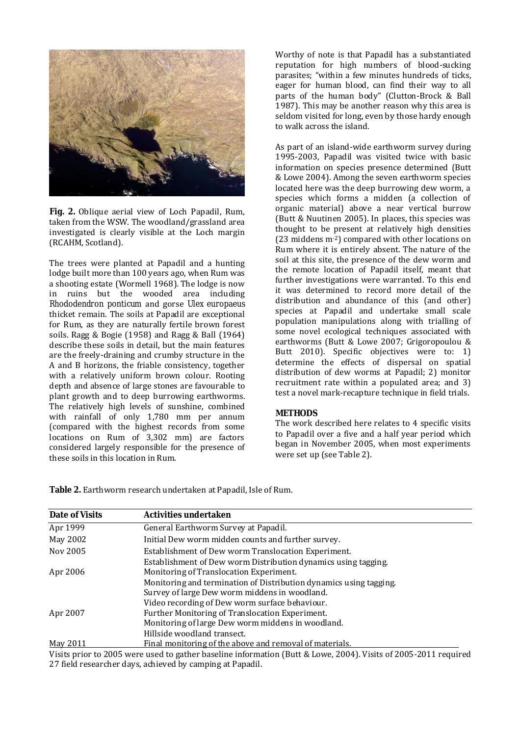

**Fig. 2.** Oblique aerial view of Loch Papadil, Rum, taken from the WSW. The woodland/grassland area investigated is clearly visible at the Loch margin (RCAHM, Scotland).

The trees were planted at Papadil and a hunting lodge built more than 100 years ago, when Rum was a shooting estate (Wormell 1968). The lodge is now in ruins but the wooded area including *Rhododendron ponticum* and gorse *Ulex europaeus* thicket remain. The soils at Papadil are exceptional for Rum, as they are naturally fertile brown forest soils. Ragg & Bogie (1958) and Ragg & Ball (1964) describe these soils in detail, but the main features are the freely-draining and crumby structure in the A and B horizons, the friable consistency, together with a relatively uniform brown colour. Rooting depth and absence of large stones are favourable to plant growth and to deep burrowing earthworms. The relatively high levels of sunshine, combined with rainfall of only 1,780 mm per annum (compared with the highest records from some locations on Rum of 3,302 mm) are factors considered largely responsible for the presence of these soils in this location in Rum.

Worthy of note is that Papadil has a substantiated reputation for high numbers of blood-sucking parasites; "within a few minutes hundreds of ticks, eager for human blood, can find their way to all parts of the human body" (Clutton-Brock & Ball 1987). This may be another reason why this area is seldom visited for long, even by those hardy enough to walk across the island.

As part of an island-wide earthworm survey during 1995-2003, Papadil was visited twice with basic information on species presence determined (Butt & Lowe 2004). Among the seven earthworm species located here was the deep burrowing dew worm, a species which forms a midden (a collection of organic material) above a near vertical burrow (Butt & Nuutinen 2005). In places, this species was thought to be present at relatively high densities (23 middens m-2) compared with other locations on Rum where it is entirely absent. The nature of the soil at this site, the presence of the dew worm and the remote location of Papadil itself, meant that further investigations were warranted. To this end it was determined to record more detail of the distribution and abundance of this (and other) species at Papadil and undertake small scale population manipulations along with trialling of some novel ecological techniques associated with earthworms (Butt & Lowe 2007; Grigoropoulou & Butt 2010). Specific objectives were to: 1) determine the effects of dispersal on spatial distribution of dew worms at Papadil; 2) monitor recruitment rate within a populated area; and 3) test a novel mark-recapture technique in field trials.

### **METHODS**

The work described here relates to 4 specific visits to Papadil over a five and a half year period which began in November 2005, when most experiments were set up (see Table 2).

**Table 2.** Earthworm research undertaken at Papadil, Isle of Rum.

| <b>Date of Visits</b> | Activities undertaken                                                                                                                                                 |
|-----------------------|-----------------------------------------------------------------------------------------------------------------------------------------------------------------------|
| Apr 1999              | General Earthworm Survey at Papadil.                                                                                                                                  |
| May 2002              | Initial Dew worm midden counts and further survey.                                                                                                                    |
| Nov 2005              | Establishment of Dew worm Translocation Experiment.                                                                                                                   |
| Apr 2006              | Establishment of Dew worm Distribution dynamics using tagging.<br>Monitoring of Translocation Experiment.                                                             |
|                       | Monitoring and termination of Distribution dynamics using tagging.<br>Survey of large Dew worm middens in woodland.<br>Video recording of Dew worm surface behaviour. |
| Apr 2007              | Further Monitoring of Translocation Experiment.                                                                                                                       |
|                       | Monitoring of large Dew worm middens in woodland.<br>Hillside woodland transect.                                                                                      |
| May 2011              | Final monitoring of the above and removal of materials.                                                                                                               |

Visits prior to 2005 were used to gather baseline information (Butt & Lowe, 2004). Visits of 2005-2011 required 27 field researcher days, achieved by camping at Papadil.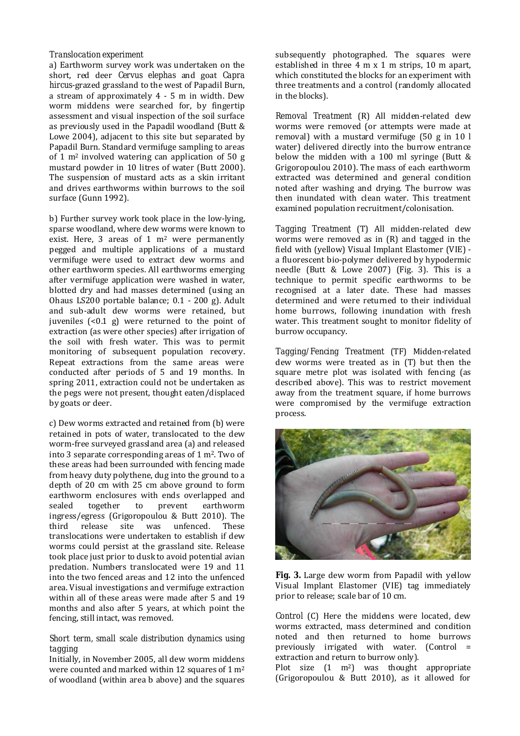# *Translocation experiment*

a) Earthworm survey work was undertaken on the short, red deer *Cervus elephas* and goat *Capra hircus*-grazed grassland to the west of Papadil Burn, a stream of approximately 4 - 5 m in width. Dew worm middens were searched for, by fingertip assessment and visual inspection of the soil surface as previously used in the Papadil woodland (Butt & Lowe 2004), adjacent to this site but separated by Papadil Burn. Standard vermifuge sampling to areas of 1 m2 involved watering can application of 50 g mustard powder in 10 litres of water (Butt 2000). The suspension of mustard acts as a skin irritant and drives earthworms within burrows to the soil surface (Gunn 1992).

b) Further survey work took place in the low-lying, sparse woodland, where dew worms were known to exist. Here, 3 areas of 1 m<sup>2</sup> were permanently pegged and multiple applications of a mustard vermifuge were used to extract dew worms and other earthworm species. All earthworms emerging after vermifuge application were washed in water, blotted dry and had masses determined (using an Ohaus LS200 portable balance; 0.1 - 200 g). Adult and sub-adult dew worms were retained, but juveniles  $\left($ <0.1 g) were returned to the point of extraction (as were other species) after irrigation of the soil with fresh water. This was to permit monitoring of subsequent population recovery. Repeat extractions from the same areas were conducted after periods of 5 and 19 months. In spring 2011, extraction could not be undertaken as the pegs were not present, thought eaten/displaced by goats or deer.

c) Dew worms extracted and retained from (b) were retained in pots of water, translocated to the dew worm-free surveyed grassland area (a) and released into 3 separate corresponding areas of 1 m2. Two of these areas had been surrounded with fencing made from heavy duty polythene, dug into the ground to a depth of 20 cm with 25 cm above ground to form earthworm enclosures with ends overlapped and sealed together to prevent earthworm ingress/egress (Grigoropoulou & Butt 2010). The third release site was unfenced. These translocations were undertaken to establish if dew worms could persist at the grassland site. Release took place just prior to dusk to avoid potential avian predation. Numbers translocated were 19 and 11 into the two fenced areas and 12 into the unfenced area. Visual investigations and vermifuge extraction within all of these areas were made after 5 and 19 months and also after 5 years, at which point the fencing, still intact, was removed.

### *Short term, small scale distribution dynamics using tagging*

Initially, in November 2005, all dew worm middens were counted and marked within 12 squares of 1 m<sup>2</sup> of woodland (within area b above) and the squares subsequently photographed. The squares were established in three 4 m x 1 m strips, 10 m apart, which constituted the blocks for an experiment with three treatments and a control (randomly allocated in the blocks).

*Removal Treatment* (R) All midden-related dew worms were removed (or attempts were made at removal) with a mustard vermifuge (50 g in 10 l water) delivered directly into the burrow entrance below the midden with a 100 ml syringe (Butt & Grigoropoulou 2010). The mass of each earthworm extracted was determined and general condition noted after washing and drying. The burrow was then inundated with clean water. This treatment examined population recruitment/colonisation.

*Tagging Treatment* (T) All midden-related dew worms were removed as in (R) and tagged in the field with (yellow) Visual Implant Elastomer (VIE) a fluorescent bio-polymer delivered by hypodermic needle (Butt & Lowe 2007) (Fig. 3). This is a technique to permit specific earthworms to be recognised at a later date. These had masses determined and were returned to their individual home burrows, following inundation with fresh water. This treatment sought to monitor fidelity of burrow occupancy.

*Tagging/Fencing Treatment* (TF) Midden-related dew worms were treated as in (T) but then the square metre plot was isolated with fencing (as described above). This was to restrict movement away from the treatment square, if home burrows were compromised by the vermifuge extraction process.



**Fig. 3.** Large dew worm from Papadil with yellow Visual Implant Elastomer (VIE) tag immediately prior to release; scale bar of 10 cm.

*Control* (C) Here the middens were located, dew worms extracted, mass determined and condition noted and then returned to home burrows previously irrigated with water. (Control = extraction and return to burrow only).

Plot size  $(1 \text{ m}^2)$  was thought appropriate (Grigoropoulou & Butt 2010), as it allowed for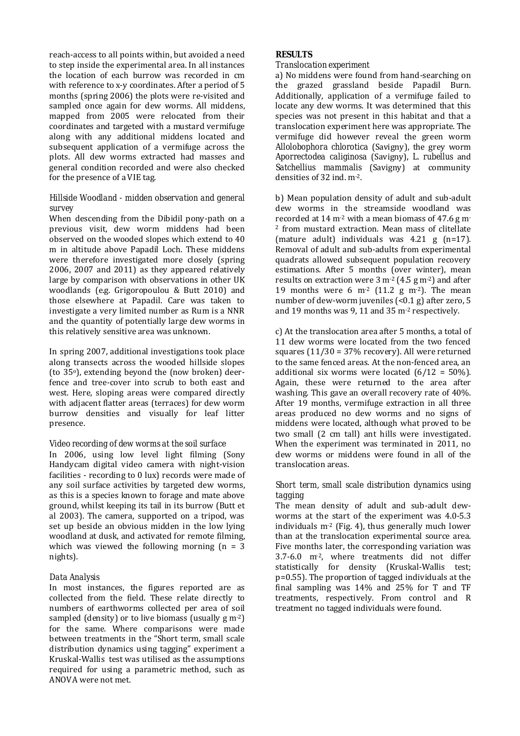reach-access to all points within, but avoided a need to step inside the experimental area. In all instances the location of each burrow was recorded in cm with reference to x-y coordinates. After a period of 5 months (spring 2006) the plots were re-visited and sampled once again for dew worms. All middens, mapped from 2005 were relocated from their coordinates and targeted with a mustard vermifuge along with any additional middens located and subsequent application of a vermifuge across the plots. All dew worms extracted had masses and general condition recorded and were also checked for the presence of a VIE tag.

# *Hillside Woodland - midden observation and general survey*

When descending from the Dibidil pony-path on a previous visit, dew worm middens had been observed on the wooded slopes which extend to 40 m in altitude above Papadil Loch. These middens were therefore investigated more closely (spring 2006, 2007 and 2011) as they appeared relatively large by comparison with observations in other UK woodlands (e.g. Grigoropoulou & Butt 2010) and those elsewhere at Papadil. Care was taken to investigate a very limited number as Rum is a NNR and the quantity of potentially large dew worms in this relatively sensitive area was unknown.

In spring 2007, additional investigations took place along transects across the wooded hillside slopes (to 35o), extending beyond the (now broken) deerfence and tree-cover into scrub to both east and west. Here, sloping areas were compared directly with adjacent flatter areas (terraces) for dew worm burrow densities and visually for leaf litter presence.

# *Video recording of dew worms at the soil surface*

In 2006, using low level light filming (Sony Handycam digital video camera with night-vision facilities - recording to 0 lux) records were made of any soil surface activities by targeted dew worms, as this is a species known to forage and mate above ground, whilst keeping its tail in its burrow (Butt et al 2003). The camera, supported on a tripod, was set up beside an obvious midden in the low lying woodland at dusk, and activated for remote filming, which was viewed the following morning  $(n = 3$ nights).

# *Data Analysis*

In most instances, the figures reported are as collected from the field. These relate directly to numbers of earthworms collected per area of soil sampled (density) or to live biomass (usually  $g$  m<sup>-2</sup>) for the same. Where comparisons were made between treatments in the "Short term, small scale distribution dynamics using tagging" experiment a Kruskal-Wallis test was utilised as the assumptions required for using a parametric method, such as ANOVA were not met.

# **RESULTS**

### *Translocation experiment*

a) No middens were found from hand-searching on the grazed grassland beside Papadil Burn. Additionally, application of a vermifuge failed to locate any dew worms. It was determined that this species was not present in this habitat and that a translocation experiment here was appropriate. The vermifuge did however reveal the green worm *Allolobophora chlorotica* (Savigny), the grey worm *Aporrectodea caliginosa* (Savigny), *L. rubellus* and *Satchellius mammalis* (Savigny) at community densities of 32 ind. m-2.

b) Mean population density of adult and sub-adult dew worms in the streamside woodland was recorded at 14 m-2 with a mean biomass of 47.6 g m-<sup>2</sup> from mustard extraction. Mean mass of clitellate (mature adult) individuals was 4.21 g (n=17). Removal of adult and sub-adults from experimental quadrats allowed subsequent population recovery estimations. After 5 months (over winter), mean results on extraction were  $3 \text{ m}^2 (4.5 \text{ g m}^2)$  and after 19 months were 6  $\mathrm{m}^2$  (11.2 g m<sup>-2</sup>). The mean number of dew-worm juveniles (<0.1 g) after zero, 5 and 19 months was 9, 11 and 35 m-2 respectively.

c) At the translocation area after 5 months, a total of 11 dew worms were located from the two fenced squares (11/30 = 37% recovery). All were returned to the same fenced areas. At the non-fenced area, an additional six worms were located  $(6/12 = 50\%)$ . Again, these were returned to the area after washing. This gave an overall recovery rate of 40%. After 19 months, vermifuge extraction in all three areas produced no dew worms and no signs of middens were located, although what proved to be two small (2 cm tall) ant hills were investigated. When the experiment was terminated in 2011, no dew worms or middens were found in all of the translocation areas.

# *Short term, small scale distribution dynamics using tagging*

The mean density of adult and sub-adult dewworms at the start of the experiment was 4.0-5.3 individuals  $m<sup>2</sup>$  (Fig. 4), thus generally much lower than at the translocation experimental source area. Five months later, the corresponding variation was 3.7-6.0 m-2, where treatments did not differ statistically for density (Kruskal-Wallis test; p=0.55). The proportion of tagged individuals at the final sampling was 14% and 25% for T and TF treatments, respectively. From control and R treatment no tagged individuals were found.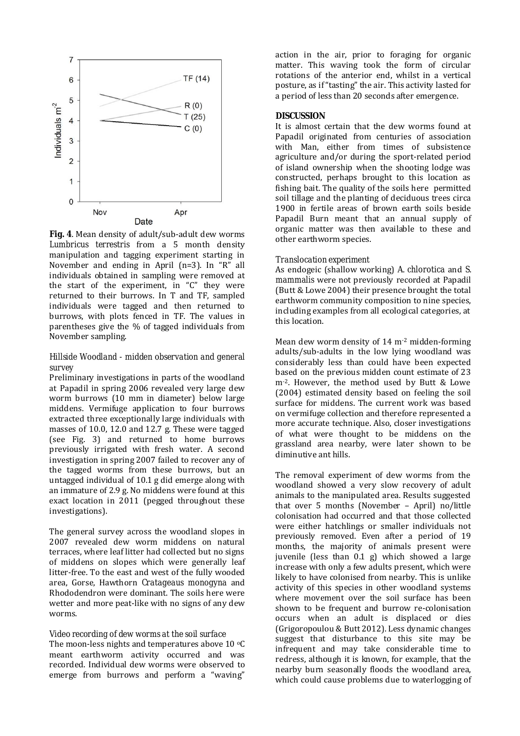

**Fig. 4**. Mean density of adult/sub-adult dew worms *Lumbricus terrestris* from a 5 month density manipulation and tagging experiment starting in November and ending in April (n=3). In "R" all individuals obtained in sampling were removed at the start of the experiment, in "C" they were returned to their burrows. In T and TF, sampled individuals were tagged and then returned to burrows, with plots fenced in TF. The values in parentheses give the % of tagged individuals from November sampling.

### *Hillside Woodland - midden observation and general survey*

Preliminary investigations in parts of the woodland at Papadil in spring 2006 revealed very large dew worm burrows (10 mm in diameter) below large middens. Vermifuge application to four burrows extracted three exceptionally large individuals with masses of 10.0, 12.0 and 12.7 g. These were tagged (see Fig. 3) and returned to home burrows previously irrigated with fresh water. A second investigation in spring 2007 failed to recover any of the tagged worms from these burrows, but an untagged individual of 10.1 g did emerge along with an immature of 2.9 g. No middens were found at this exact location in 2011 (pegged throughout these investigations).

The general survey across the woodland slopes in 2007 revealed dew worm middens on natural terraces, where leaf litter had collected but no signs of middens on slopes which were generally leaf litter-free. To the east and west of the fully wooded area, Gorse, Hawthorn *Cratageaus monogyna* and Rhododendron were dominant. The soils here were wetter and more peat-like with no signs of any dew worms.

#### *Video recording of dew worms at the soil surface*

The moon-less nights and temperatures above 10  $\degree$ C meant earthworm activity occurred and was recorded. Individual dew worms were observed to emerge from burrows and perform a "waving"

action in the air, prior to foraging for organic matter. This waving took the form of circular rotations of the anterior end, whilst in a vertical posture, as if"tasting" the air. This activity lasted for a period of less than 20 seconds after emergence.

#### **DISCUSSION**

It is almost certain that the dew worms found at Papadil originated from centuries of association with Man, either from times of subsistence agriculture and/or during the sport-related period of island ownership when the shooting lodge was constructed, perhaps brought to this location as fishing bait. The quality of the soils here permitted soil tillage and the planting of deciduous trees circa 1900 in fertile areas of brown earth soils beside Papadil Burn meant that an annual supply of organic matter was then available to these and other earthworm species.

#### *Translocation experiment*

As endogeic (shallow working) *A. chlorotica* and *S. mammalis* were not previously recorded at Papadil (Butt & Lowe 2004) their presence brought the total earthworm community composition to nine species, including examples from all ecological categories, at this location.

Mean dew worm density of 14 m-2 midden-forming adults/sub-adults in the low lying woodland was considerably less than could have been expected based on the previous midden count estimate of 23 m<sup>-2</sup>. However, the method used by Butt & Lowe (2004) estimated density based on feeling the soil surface for middens. The current work was based on vermifuge collection and therefore represented a more accurate technique. Also, closer investigations of what were thought to be middens on the grassland area nearby, were later shown to be diminutive ant hills.

The removal experiment of dew worms from the woodland showed a very slow recovery of adult animals to the manipulated area. Results suggested that over 5 months (November – April) no/little colonisation had occurred and that those collected were either hatchlings or smaller individuals not previously removed. Even after a period of 19 months, the majority of animals present were juvenile (less than 0.1 g) which showed a large increase with only a few adults present, which were likely to have colonised from nearby. This is unlike activity of this species in other woodland systems where movement over the soil surface has been shown to be frequent and burrow re-colonisation occurs when an adult is displaced or dies (Grigoropoulou & Butt 2012). Less dynamic changes suggest that disturbance to this site may be infrequent and may take considerable time to redress, although it is known, for example, that the nearby burn seasonally floods the woodland area, which could cause problems due to waterlogging of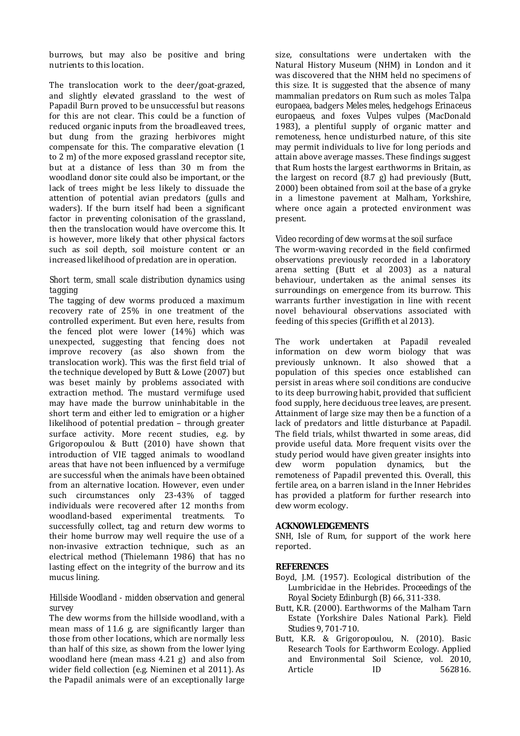burrows, but may also be positive and bring nutrients to this location.

The translocation work to the deer/goat-grazed, and slightly elevated grassland to the west of Papadil Burn proved to be unsuccessful but reasons for this are not clear. This could be a function of reduced organic inputs from the broadleaved trees, but dung from the grazing herbivores might compensate for this. The comparative elevation (1 to 2 m) of the more exposed grassland receptor site, but at a distance of less than 30 m from the woodland donor site could also be important, or the lack of trees might be less likely to dissuade the attention of potential avian predators (gulls and waders). If the burn itself had been a significant factor in preventing colonisation of the grassland, then the translocation would have overcome this. It is however, more likely that other physical factors such as soil depth, soil moisture content or an increased likelihood of predation are in operation.

## *Short term, small scale distribution dynamics using tagging*

The tagging of dew worms produced a maximum recovery rate of 25% in one treatment of the controlled experiment. But even here, results from the fenced plot were lower (14%) which was unexpected, suggesting that fencing does not improve recovery (as also shown from the translocation work). This was the first field trial of the technique developed by Butt & Lowe (2007) but was beset mainly by problems associated with extraction method. The mustard vermifuge used may have made the burrow uninhabitable in the short term and either led to emigration or a higher likelihood of potential predation – through greater surface activity. More recent studies, e.g. by Grigoropoulou & Butt (2010) have shown that introduction of VIE tagged animals to woodland areas that have not been influenced by a vermifuge are successful when the animals have been obtained from an alternative location. However, even under such circumstances only 23-43% of tagged individuals were recovered after 12 months from woodland-based experimental treatments. To successfully collect, tag and return dew worms to their home burrow may well require the use of a non-invasive extraction technique, such as an electrical method (Thielemann 1986) that has no lasting effect on the integrity of the burrow and its mucus lining.

# *Hillside Woodland - midden observation and general survey*

The dew worms from the hillside woodland, with a mean mass of 11.6 g, are significantly larger than those from other locations, which are normally less than half of this size, as shown from the lower lying woodland here (mean mass 4.21 g) and also from wider field collection (e.g. Nieminen et al 2011). As the Papadil animals were of an exceptionally large

size, consultations were undertaken with the Natural History Museum (NHM) in London and it was discovered that the NHM held no specimens of this size. It is suggested that the absence of many mammalian predators on Rum such as moles *Talpa europaea*, badgers *Meles meles*, hedgehogs *Erinaceus europaeus*, and foxes *Vulpes vulpes* (MacDonald 1983), a plentiful supply of organic matter and remoteness, hence undisturbed nature, of this site may permit individuals to live for long periods and attain above average masses. These findings suggest that Rum hosts the largest earthworms in Britain, as the largest on record (8.7 g) had previously (Butt, 2000) been obtained from soil at the base of a gryke in a limestone pavement at Malham, Yorkshire, where once again a protected environment was present.

# *Video recording of dew worms at the soil surface*

The worm-waving recorded in the field confirmed observations previously recorded in a laboratory arena setting (Butt et al 2003) as a natural behaviour, undertaken as the animal senses its surroundings on emergence from its burrow. This warrants further investigation in line with recent novel behavioural observations associated with feeding of this species (Griffith et al 2013).

The work undertaken at Papadil revealed information on dew worm biology that was previously unknown. It also showed that a population of this species once established can persist in areas where soil conditions are conducive to its deep burrowing habit, provided that sufficient food supply, here deciduous tree leaves, are present. Attainment of large size may then be a function of a lack of predators and little disturbance at Papadil. The field trials, whilst thwarted in some areas, did provide useful data. More frequent visits over the study period would have given greater insights into dew worm population dynamics, but the remoteness of Papadil prevented this. Overall, this fertile area, on a barren island in the Inner Hebrides has provided a platform for further research into dew worm ecology.

### **ACKNOWLEDGEMENTS**

SNH, Isle of Rum, for support of the work here reported.

### **REFERENCES**

- Boyd, J.M. (1957). Ecological distribution of the Lumbricidae in the Hebrides. *Proceedings of the Royal Society Edinburgh* (B) 66, 311-338.
- Butt, K.R. (2000). Earthworms of the Malham Tarn Estate (Yorkshire Dales National Park). *Field Studies* 9, 701-710.
- Butt, K.R. & Grigoropoulou, N. (2010). Basic Research Tools for Earthworm Ecology. Applied and Environmental Soil Science, vol. 2010, Article **ID** 562816.